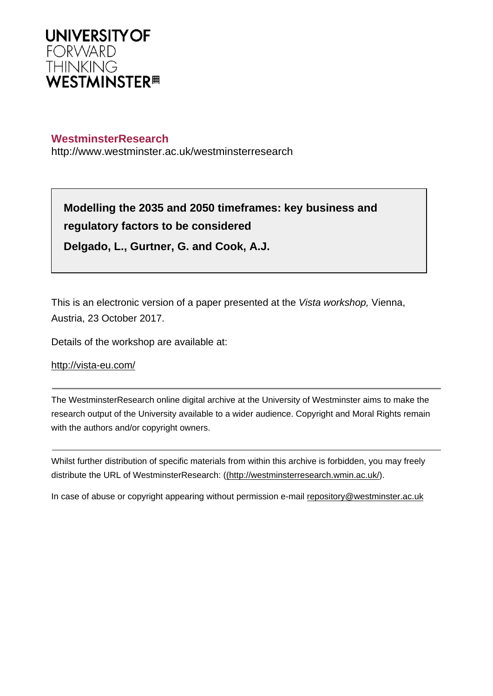

## **WestminsterResearch**

http://www.westminster.ac.uk/westminsterresearch

**Modelling the 2035 and 2050 timeframes: key business and regulatory factors to be considered**

**Delgado, L., Gurtner, G. and Cook, A.J.**

This is an electronic version of a paper presented at the Vista workshop, Vienna, Austria, 23 October 2017.

Details of the workshop are available at:

<http://vista-eu.com/>

The WestminsterResearch online digital archive at the University of Westminster aims to make the research output of the University available to a wider audience. Copyright and Moral Rights remain with the authors and/or copyright owners.

Whilst further distribution of specific materials from within this archive is forbidden, you may freely distribute the URL of WestminsterResearch: [\(\(http://westminsterresearch.wmin.ac.uk/](http://westminsterresearch.wmin.ac.uk/)).

In case of abuse or copyright appearing without permission e-mail <repository@westminster.ac.uk>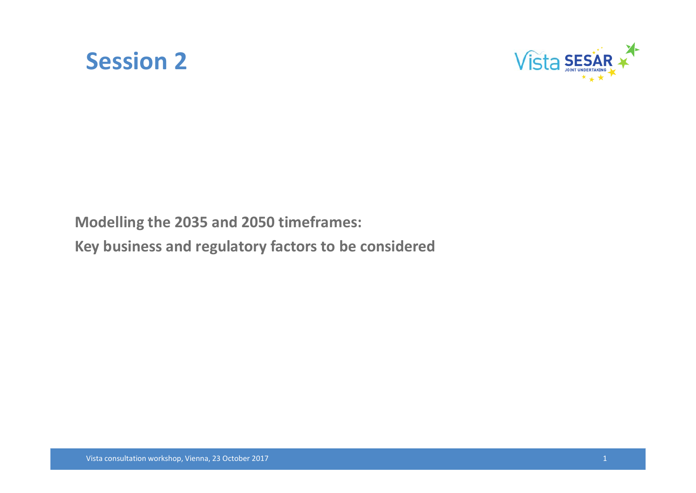



**Modelling the 2035 and 2050 timeframes:** 

**Key business and regulatory factors to be considered**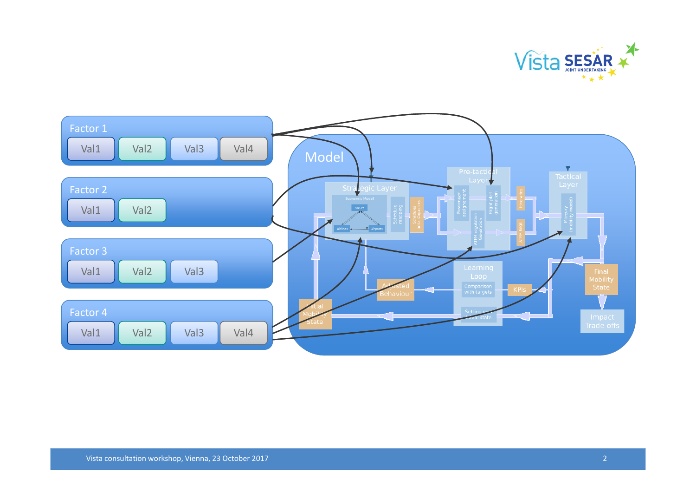

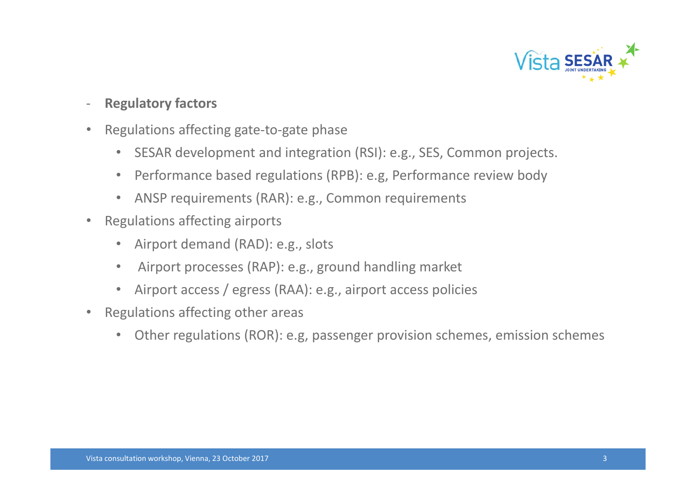

- $-$ **Regulatory factors**
- $\bullet$  Regulations affecting gate‐to‐gate phase
	- •SESAR development and integration (RSI): e.g., SES, Common projects.
	- $\bullet$ Performance based regulations (RPB): e.g, Performance review body
	- $\bullet$ ANSP requirements (RAR): e.g., Common requirements
- Regulations affecting airports
	- $\bullet$ Airport demand (RAD): e.g., slots
	- •Airport processes (RAP): e.g., ground handling market
	- $\bullet$ Airport access / egress (RAA): e.g., airport access policies
- Regulations affecting other areas
	- •Other regulations (ROR): e.g, passenger provision schemes, emission schemes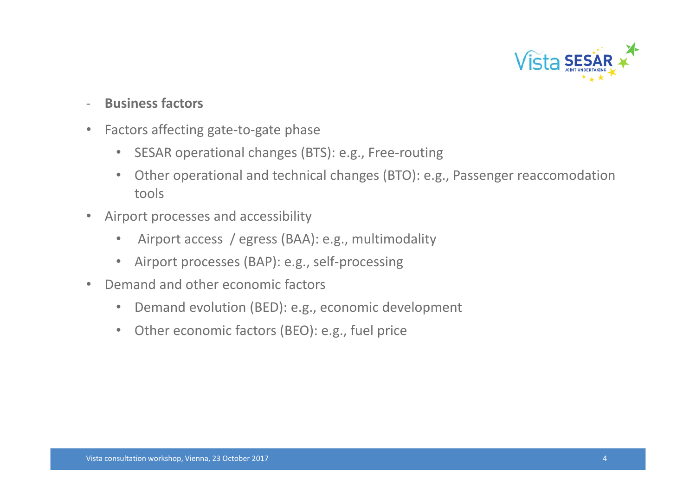

- ‐**Business factors**
- $\bullet$  Factors affecting gate‐to‐gate phase
	- •SESAR operational changes (BTS): e.g., Free‐routing
	- • Other operational and technical changes (BTO): e.g., Passenger reaccomodation tools
- $\bullet$  Airport processes and accessibility
	- $\bullet$ Airport access / egress (BAA): e.g., multimodality
	- •Airport processes (BAP): e.g., self‐processing
- $\bullet$  Demand and other economic factors
	- $\bullet$ Demand evolution (BED): e.g., economic development
	- $\bullet$ Other economic factors (BEO): e.g., fuel price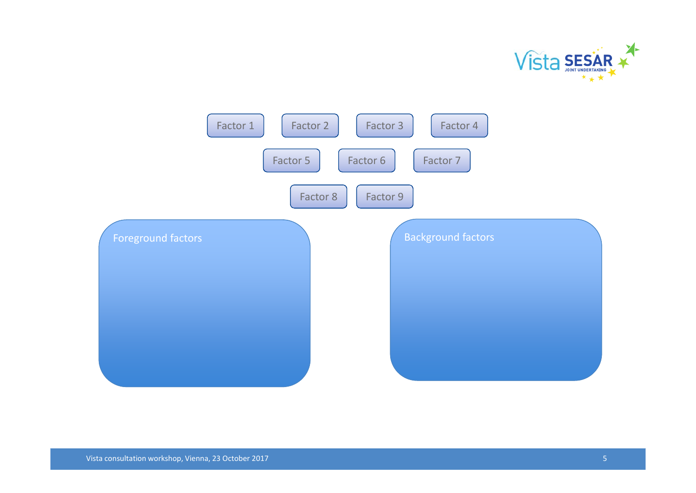

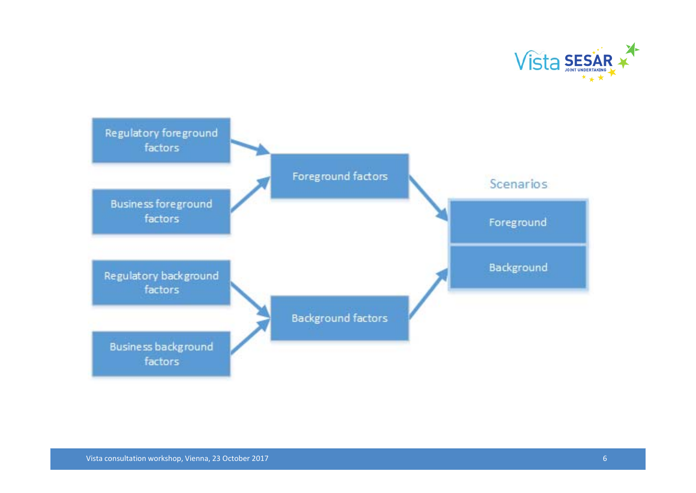

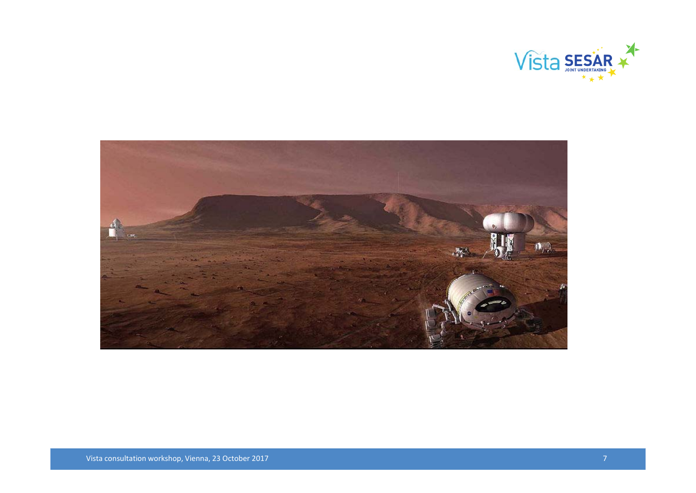

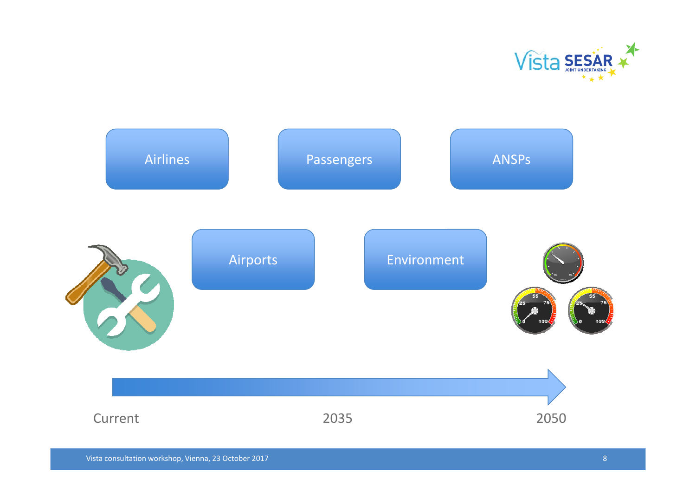

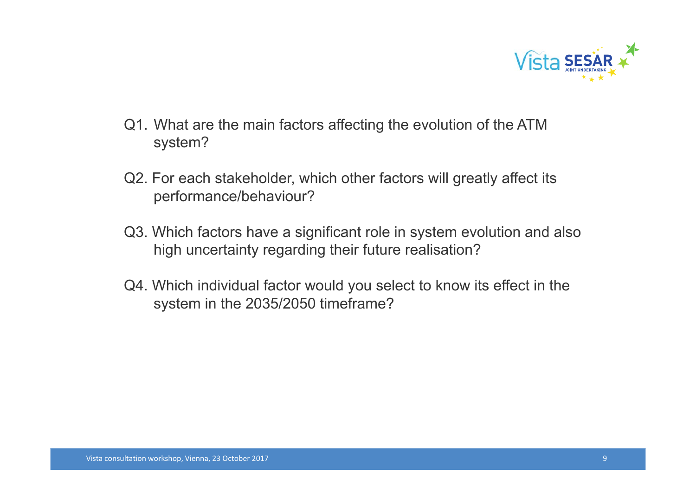

- Q1. What are the main factors affecting the evolution of the ATM system?
- Q2. For each stakeholder, which other factors will greatly affect its performance/behaviour?
- Q3. Which factors have a significant role in system evolution and also high uncertainty regarding their future realisation?
- Q4. Which individual factor would you select to know its effect in the system in the 2035/2050 timeframe?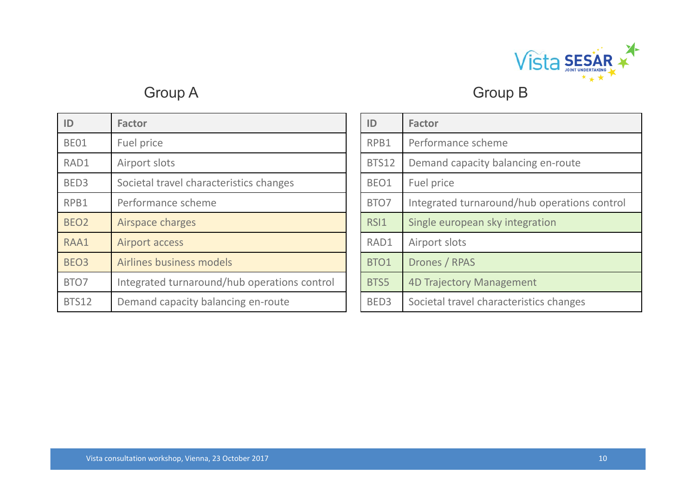

| ID               | <b>Factor</b>                                |  |
|------------------|----------------------------------------------|--|
| <b>BE01</b>      | Fuel price                                   |  |
| RAD1             | Airport slots                                |  |
| BED <sub>3</sub> | Societal travel characteristics changes      |  |
| RPB1             | Performance scheme                           |  |
| BEO <sub>2</sub> | Airspace charges                             |  |
| RAA1             | <b>Airport access</b>                        |  |
| BEO <sub>3</sub> | Airlines business models                     |  |
| BTO7             | Integrated turnaround/hub operations control |  |
| <b>BTS12</b>     | Demand capacity balancing en-route           |  |

| ID               | <b>Factor</b>                                |  |
|------------------|----------------------------------------------|--|
| RPB1             | Performance scheme                           |  |
| <b>BTS12</b>     | Demand capacity balancing en-route           |  |
| BEO1             | <b>Fuel price</b>                            |  |
| BTO7             | Integrated turnaround/hub operations control |  |
| RSI <sub>1</sub> | Single european sky integration              |  |
| RAD1             | Airport slots                                |  |
| BTO <sub>1</sub> | Drones / RPAS                                |  |
| BTS5             | <b>4D Trajectory Management</b>              |  |
| BED <sub>3</sub> | Societal travel characteristics changes      |  |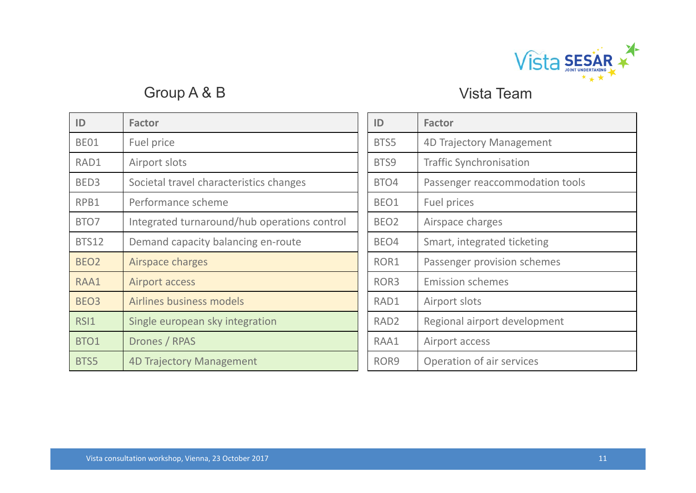

# Group A & B Vista Team

| ID               | <b>Factor</b>                                |  |
|------------------|----------------------------------------------|--|
| <b>BE01</b>      | Fuel price                                   |  |
| RAD1             | Airport slots                                |  |
| BED <sub>3</sub> | Societal travel characteristics changes      |  |
| RPB1             | Performance scheme                           |  |
| BTO7             | Integrated turnaround/hub operations control |  |
| <b>BTS12</b>     | Demand capacity balancing en-route           |  |
| BEO <sub>2</sub> | Airspace charges                             |  |
| RAA1             | <b>Airport access</b>                        |  |
| BEO <sub>3</sub> | Airlines business models                     |  |
| RSI <sub>1</sub> | Single european sky integration              |  |
| BTO1             | Drones / RPAS                                |  |
| BTS5             | <b>4D Trajectory Management</b>              |  |

| ID               | <b>Factor</b>                   |  |
|------------------|---------------------------------|--|
| BTS5             | <b>4D Trajectory Management</b> |  |
| BTS9             | <b>Traffic Synchronisation</b>  |  |
| BTO4             | Passenger reaccommodation tools |  |
| BEO1             | <b>Fuel prices</b>              |  |
| BEO <sub>2</sub> | Airspace charges                |  |
| BEO4             | Smart, integrated ticketing     |  |
| ROR1             | Passenger provision schemes     |  |
| ROR <sub>3</sub> | <b>Emission schemes</b>         |  |
| RAD1             | Airport slots                   |  |
| RAD <sub>2</sub> | Regional airport development    |  |
| RAA1             | Airport access                  |  |
| ROR <sub>9</sub> | Operation of air services       |  |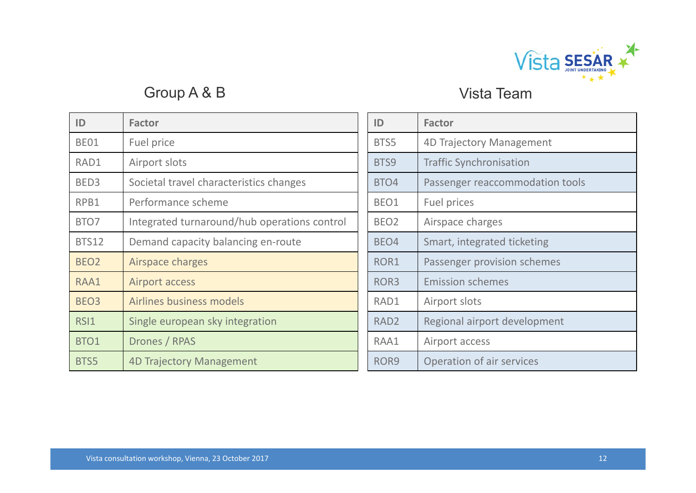

# Group A & B Vista Team

| ID               | <b>Factor</b>                                |  |
|------------------|----------------------------------------------|--|
| <b>BE01</b>      | <b>Fuel price</b>                            |  |
| RAD1             | Airport slots                                |  |
| BED <sub>3</sub> | Societal travel characteristics changes      |  |
| RPB1             | Performance scheme                           |  |
| BTO7             | Integrated turnaround/hub operations control |  |
| <b>BTS12</b>     | Demand capacity balancing en-route           |  |
| BEO <sub>2</sub> | Airspace charges                             |  |
| RAA1             | <b>Airport access</b>                        |  |
| BEO <sub>3</sub> | Airlines business models                     |  |
| RSI <sub>1</sub> | Single european sky integration              |  |
| BTO1             | Drones / RPAS                                |  |
| BTS5             | <b>4D Trajectory Management</b>              |  |

| ID               | <b>Factor</b>                   |  |
|------------------|---------------------------------|--|
| BTS5             | <b>4D Trajectory Management</b> |  |
| BTS9             | <b>Traffic Synchronisation</b>  |  |
| BTO4             | Passenger reaccommodation tools |  |
| BEO1             | <b>Fuel prices</b>              |  |
| BEO <sub>2</sub> | Airspace charges                |  |
| BEO4             | Smart, integrated ticketing     |  |
| ROR1             | Passenger provision schemes     |  |
| ROR <sub>3</sub> | <b>Emission schemes</b>         |  |
| RAD1             | Airport slots                   |  |
| RAD <sub>2</sub> | Regional airport development    |  |
| RAA1             | Airport access                  |  |
| ROR <sub>9</sub> | Operation of air services       |  |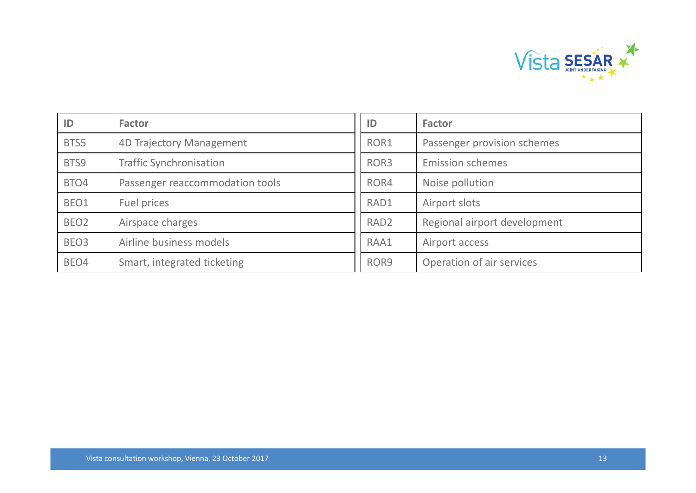

| ID               | Factor                          | ID               | <b>Factor</b>                |
|------------------|---------------------------------|------------------|------------------------------|
| BTS5             | 4D Trajectory Management        | ROR1             | Passenger provision schemes  |
| BTS9             | <b>Traffic Synchronisation</b>  | ROR3             | <b>Emission schemes</b>      |
| BTO4             | Passenger reaccommodation tools | ROR4             | Noise pollution              |
| BEO1             | Fuel prices                     | RAD1             | Airport slots                |
| BEO <sub>2</sub> | Airspace charges                | RAD <sub>2</sub> | Regional airport development |
| BEO <sub>3</sub> | Airline business models         | RAA1             | Airport access               |
| BEO4             | Smart, integrated ticketing     | ROR9             | Operation of air services    |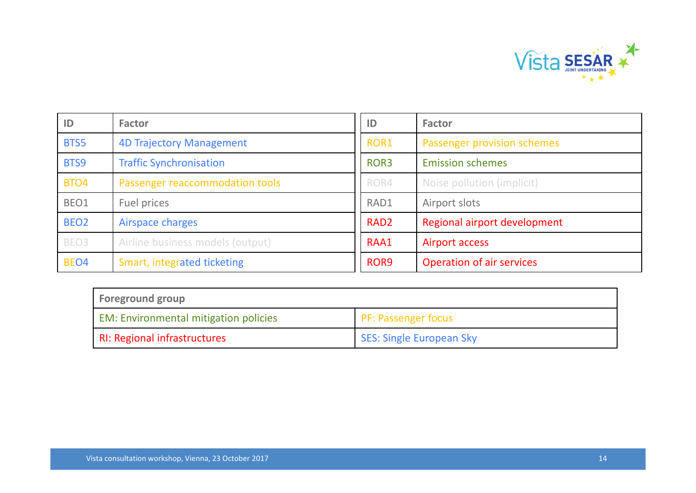

| ID               | <b>Factor</b>                    | ID               | Factor                           |
|------------------|----------------------------------|------------------|----------------------------------|
| BTS5             | <b>4D Trajectory Management</b>  | ROR1             | Passenger provision schemes      |
| BTS9             | <b>Traffic Synchronisation</b>   | ROR <sub>3</sub> | <b>Emission schemes</b>          |
| <b>BTO4</b>      | Passenger reaccommodation tools  | ROR4             | Noise pollution (implicit)       |
| BEO1             | Fuel prices                      | RAD1             | Airport slots                    |
| BEO <sub>2</sub> | Airspace charges                 | RAD <sub>2</sub> | Regional airport development     |
| BEO <sub>3</sub> | Airline business models (output) | RAA1             | Airport access                   |
| BEO <sub>4</sub> | Smart, integrated ticketing      | ROR9             | <b>Operation of air services</b> |

| <b>Foreground group</b>                      |                            |
|----------------------------------------------|----------------------------|
| <b>EM: Environmental mitigation policies</b> | <b>PF: Passenger focus</b> |
| RI: Regional infrastructures                 | SES: Single European Sky   |